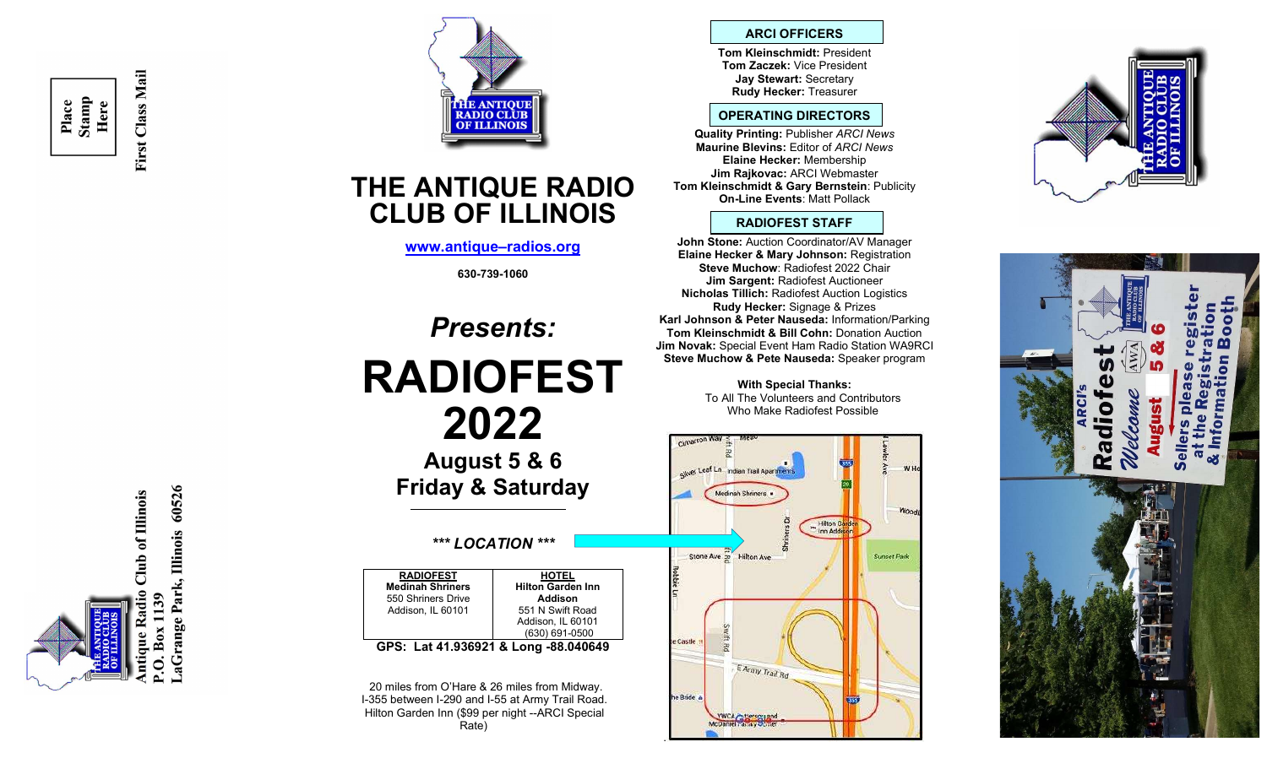Place<br>Stamp<br>Here

First Class Mail





# THE ANTIQUE RADIO CLUB OF ILLINOIS

www.antique–radios.org

630-739-1060

# Presents: RADIOFEST 2022

August 5 & 6 Friday & Saturday

## \*\*\* LOCATION \*\*\*

RADIOFEST Medinah Shriners 550 Shriners Drive Addison, IL 60101 **HOTEL** Hilton Garden Inn Addison 551 N Swift Road Addison, IL 60101 (630) 691-0500 GPS: Lat 41.936921 & Long -88.040649

 20 miles from O'Hare & 26 miles from Midway. I-355 between I-290 and I-55 at Army Trail Road. Hilton Garden Inn (\$99 per night --ARCI Special Rate)

#### ARCI OFFICERS

Tom Kleinschmidt: President Tom Zaczek: Vice President Jay Stewart: Secretary Rudy Hecker: Treasurer

#### OPERATING DIRECTORS

Quality Printing: Publisher ARCI News Maurine Blevins: Editor of ARCI News Elaine Hecker: Membership Jim Rajkovac: ARCI Webmaster Tom Kleinschmidt & Gary Bernstein: Publicity On-Line Events: Matt Pollack

#### RADIOFEST STAFF

John Stone: Auction Coordinator/AV Manager Elaine Hecker & Mary Johnson: Registration Steve Muchow: Radiofest 2022 Chair Jim Sargent: Radiofest Auctioneer Nicholas Tillich: Radiofest Auction Logistics Rudy Hecker: Signage & Prizes Karl Johnson & Peter Nauseda: Information/Parking Tom Kleinschmidt & Bill Cohn: Donation Auction Jim Novak: Special Event Ham Radio Station WA9RCI Steve Muchow & Pete Nauseda: Speaker program

> With Special Thanks: To All The Volunteers and Contributors Who Make Radiofest Possible